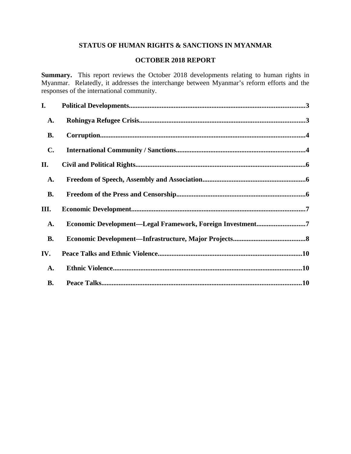## **STATUS OF HUMAN RIGHTS & SANCTIONS IN MYANMAR**

## **OCTOBER 2018 REPORT**

**Summary.** This report reviews the October 2018 developments relating to human rights in Myanmar. Relatedly, it addresses the interchange between Myanmar's reform efforts and the responses of the international community.

| I.             |                                                           |  |
|----------------|-----------------------------------------------------------|--|
| <b>A.</b>      |                                                           |  |
| <b>B.</b>      |                                                           |  |
| $\mathbf{C}$ . |                                                           |  |
| II.            |                                                           |  |
| <b>A.</b>      |                                                           |  |
| <b>B.</b>      |                                                           |  |
| III.           |                                                           |  |
| <b>A.</b>      | Economic Development-Legal Framework, Foreign Investment7 |  |
| <b>B.</b>      |                                                           |  |
| IV.            |                                                           |  |
| <b>A.</b>      |                                                           |  |
| <b>B.</b>      |                                                           |  |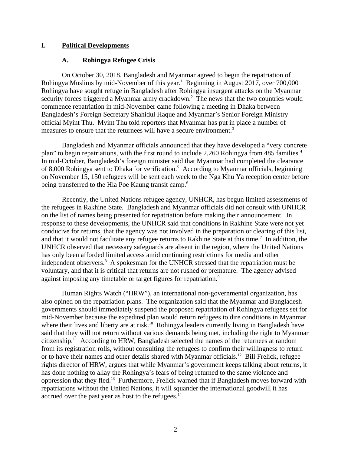### **I. Political Developments**

### <span id="page-1-1"></span><span id="page-1-0"></span>**A. Rohingya Refugee Crisis**

On October 30, 2018, Bangladesh and Myanmar agreed to begin the repatriation of Rohingya Muslims by mid-November of this year.<sup>1</sup> Beginning in August 2017, over 700,000 Rohingya have sought refuge in Bangladesh after Rohingya insurgent attacks on the Myanmar security forces triggered a Myanmar army crackdown. $^2$  The news that the two countries would commence repatriation in mid-November came following a meeting in Dhaka between Bangladesh's Foreign Secretary Shahidul Haque and Myanmar's Senior Foreign Ministry official Myint Thu. Myint Thu told reporters that Myanmar has put in place a number of measures to ensure that the returnees will have a secure environment.<sup>3</sup>

Bangladesh and Myanmar officials announced that they have developed a "very concrete plan" to begin repatriations, with the first round to include 2,260 Rohingya from 485 families.<sup>4</sup> In mid-October, Bangladesh's foreign minister said that Myanmar had completed the clearance of 8,000 Rohingya sent to Dhaka for verification.<sup>5</sup> According to Myanmar officials, beginning on November 15, 150 refugees will be sent each week to the Nga Khu Ya reception center before being transferred to the Hla Poe Kaung transit camp.<sup>6</sup>

Recently, the United Nations refugee agency, UNHCR, has begun limited assessments of the refugees in Rakhine State. Bangladesh and Myanmar officials did not consult with UNHCR on the list of names being presented for repatriation before making their announcement. In response to these developments, the UNHCR said that conditions in Rakhine State were not yet conducive for returns, that the agency was not involved in the preparation or clearing of this list, and that it would not facilitate any refugee returns to Rakhine State at this time.<sup>7</sup> In addition, the UNHCR observed that necessary safeguards are absent in the region, where the United Nations has only been afforded limited access amid continuing restrictions for media and other independent observers. $8\,$  A spokesman for the UNHCR stressed that the repatriation must be voluntary, and that it is critical that returns are not rushed or premature. The agency advised against imposing any timetable or target figures for repatriation.<sup>9</sup>

Human Rights Watch ("HRW"), an international non-governmental organization, has also opined on the repatriation plans. The organization said that the Myanmar and Bangladesh governments should immediately suspend the proposed repatriation of Rohingya refugees set for mid-November because the expedited plan would return refugees to dire conditions in Myanmar where their lives and liberty are at risk.<sup>10</sup> Rohingya leaders currently living in Bangladesh have said that they will not return without various demands being met, including the right to Myanmar citizenship.<sup>11</sup> According to HRW, Bangladesh selected the names of the returnees at random from its registration rolls, without consulting the refugees to confirm their willingness to return or to have their names and other details shared with Myanmar officials.<sup>12</sup> Bill Frelick, refugee rights director of HRW, argues that while Myanmar's government keeps talking about returns, it has done nothing to allay the Rohingya's fears of being returned to the same violence and oppression that they fled.<sup>13</sup> Furthermore, Frelick warned that if Bangladesh moves forward with repatriations without the United Nations, it will squander the international goodwill it has accrued over the past year as host to the refugees.<sup>14</sup>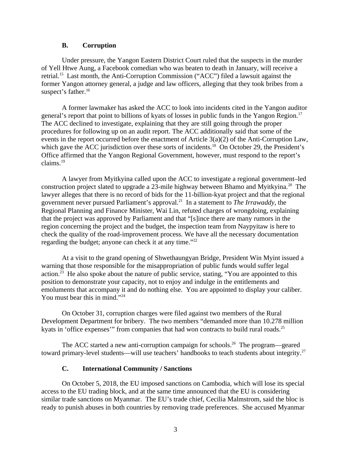### <span id="page-2-1"></span>**B. Corruption**

Under pressure, the Yangon Eastern District Court ruled that the suspects in the murder of Yell Htwe Aung, a Facebook comedian who was beaten to death in January, will receive a retrial.<sup>15</sup> Last month, the Anti-Corruption Commission ("ACC") filed a lawsuit against the former Yangon attorney general, a judge and law officers, alleging that they took bribes from a suspect's father.<sup>16</sup>

A former lawmaker has asked the ACC to look into incidents cited in the Yangon auditor general's report that point to billions of kyats of losses in public funds in the Yangon Region.<sup>17</sup> The ACC declined to investigate, explaining that they are still going through the proper procedures for following up on an audit report. The ACC additionally said that some of the events in the report occurred before the enactment of Article 3(a)(2) of the Anti-Corruption Law, which gave the ACC jurisdiction over these sorts of incidents.<sup>18</sup> On October 29, the President's Office affirmed that the Yangon Regional Government, however, must respond to the report's claims.<sup>19</sup>

A lawyer from Myitkyina called upon the ACC to investigate a regional government–led construction project slated to upgrade a 23-mile highway between Bhamo and Myitkyina.<sup>20</sup> The lawyer alleges that there is no record of bids for the 11-billion-kyat project and that the regional government never pursued Parliament's approval.<sup>21</sup> In a statement to *The Irrawaddy*, the Regional Planning and Finance Minister, Wai Lin, refuted charges of wrongdoing, explaining that the project was approved by Parliament and that "[s]ince there are many rumors in the region concerning the project and the budget, the inspection team from Naypyitaw is here to check the quality of the road-improvement process. We have all the necessary documentation regarding the budget; anyone can check it at any time."<sup>22</sup>

At a visit to the grand opening of Shwethaungyan Bridge, President Win Myint issued a warning that those responsible for the misappropriation of public funds would suffer legal action.<sup>23</sup> He also spoke about the nature of public service, stating, "You are appointed to this position to demonstrate your capacity, not to enjoy and indulge in the entitlements and emoluments that accompany it and do nothing else. You are appointed to display your caliber. You must bear this in mind."<sup>24</sup>

On October 31, corruption charges were filed against two members of the Rural Development Department for bribery. The two members "demanded more than 10.278 million kyats in 'office expenses'" from companies that had won contracts to build rural roads.<sup>25</sup>

The ACC started a new anti-corruption campaign for schools.<sup>26</sup> The program—geared toward primary-level students—will use teachers' handbooks to teach students about integrity.<sup>27</sup>

## <span id="page-2-0"></span>**C. International Community / Sanctions**

On October 5, 2018, the EU imposed sanctions on Cambodia, which will lose its special access to the EU trading block, and at the same time announced that the EU is considering similar trade sanctions on Myanmar. The EU's trade chief, Cecilia Malmstrom, said the bloc is ready to punish abuses in both countries by removing trade preferences. She accused Myanmar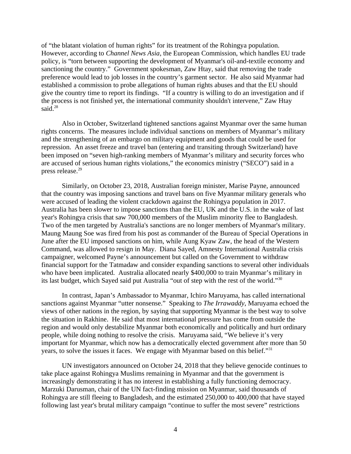of "the blatant violation of human rights" for its treatment of the Rohingya population. However, according to *Channel News Asia*, the European Commission, which handles EU trade policy, is "torn between supporting the development of Myanmar's oil-and-textile economy and sanctioning the country." Government spokesman, Zaw Htay, said that removing the trade preference would lead to job losses in the country's garment sector. He also said Myanmar had established a commission to probe allegations of human rights abuses and that the EU should give the country time to report its findings. "If a country is willing to do an investigation and if the process is not finished yet, the international community shouldn't intervene," Zaw Htay said. $28$ 

Also in October, Switzerland tightened sanctions against Myanmar over the same human rights concerns. The measures include individual sanctions on members of Myanmar's military and the strengthening of an embargo on military equipment and goods that could be used for repression. An asset freeze and travel ban (entering and transiting through Switzerland) have been imposed on "seven high-ranking members of Myanmar's military and security forces who are accused of serious human rights violations," the economics ministry ("SECO") said in a press release.<sup>29</sup>

Similarly, on October 23, 2018, Australian foreign minister, Marise Payne, announced that the country was imposing sanctions and travel bans on five Myanmar military generals who were accused of leading the violent crackdown against the Rohingya population in 2017. Australia has been slower to impose sanctions than the EU, UK and the U.S. in the wake of last year's Rohingya crisis that saw 700,000 members of the Muslim minority flee to Bangladesh. Two of the men targeted by Australia's sanctions are no longer members of Myanmar's military. Maung Maung Soe was fired from his post as commander of the Bureau of Special Operations in June after the EU imposed sanctions on him, while Aung Kyaw Zaw, the head of the Western Command, was allowed to resign in May. Diana Sayed, Amnesty International Australia crisis campaigner, welcomed Payne's announcement but called on the Government to withdraw financial support for the Tatmadaw and consider expanding sanctions to several other individuals who have been implicated. Australia allocated nearly \$400,000 to train Myanmar's military in its last budget, which Sayed said put Australia "out of step with the rest of the world."<sup>30</sup>

In contrast, Japan's Ambassador to Myanmar, Ichiro Maruyama, has called international sanctions against Myanmar "utter nonsense." Speaking to *The Irrawaddy*, Maruyama echoed the views of other nations in the region, by saying that supporting Myanmar is the best way to solve the situation in Rakhine. He said that most international pressure has come from outside the region and would only destabilize Myanmar both economically and politically and hurt ordinary people, while doing nothing to resolve the crisis. Maruyama said, "We believe it's very important for Myanmar, which now has a democratically elected government after more than 50 years, to solve the issues it faces. We engage with Myanmar based on this belief."<sup>31</sup>

UN investigators announced on October 24, 2018 that they believe genocide continues to take place against Rohingya Muslims remaining in Myanmar and that the government is increasingly demonstrating it has no interest in establishing a fully functioning democracy. Marzuki Darusman, chair of the UN fact-finding mission on Myanmar, said thousands of Rohingya are still fleeing to Bangladesh, and the estimated 250,000 to 400,000 that have stayed following last year's brutal military campaign "continue to suffer the most severe" restrictions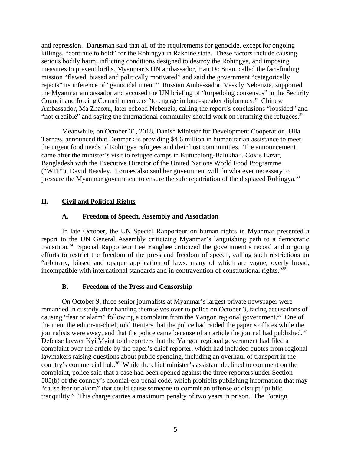and repression. Darusman said that all of the requirements for genocide, except for ongoing killings, "continue to hold" for the Rohingya in Rakhine state. These factors include causing serious bodily harm, inflicting conditions designed to destroy the Rohingya, and imposing measures to prevent births. Myanmar's UN ambassador, Hau Do Suan, called the fact-finding mission "flawed, biased and politically motivated" and said the government "categorically rejects" its inference of "genocidal intent." Russian Ambassador, Vassily Nebenzia, supported the Myanmar ambassador and accused the UN briefing of "torpedoing consensus" in the Security Council and forcing Council members "to engage in loud-speaker diplomacy." Chinese Ambassador, Ma Zhaoxu, later echoed Nebenzia, calling the report's conclusions "lopsided" and "not credible" and saying the international community should work on returning the refugees. $32$ 

Meanwhile, on October 31, 2018, Danish Minister for Development Cooperation, Ulla Tørnæs, announced that Denmark is providing \$4.6 million in humanitarian assistance to meet the urgent food needs of Rohingya refugees and their host communities. The announcement came after the minister's visit to refugee camps in Kutupalong-Balukhali, Cox's Bazar, Bangladesh with the Executive Director of the United Nations World Food Programme ("WFP"), David Beasley. Tørnæs also said her government will do whatever necessary to pressure the Myanmar government to ensure the safe repatriation of the displaced Rohingya.<sup>33</sup>

# **II. Civil and Political Rights**

## <span id="page-4-2"></span><span id="page-4-1"></span>**A. Freedom of Speech, Assembly and Association**

In late October, the UN Special Rapporteur on human rights in Myanmar presented a report to the UN General Assembly criticizing Myanmar's languishing path to a democratic transition.<sup>34</sup> Special Rapporteur Lee Yanghee criticized the government's record and ongoing efforts to restrict the freedom of the press and freedom of speech, calling such restrictions an "arbitrary, biased and opaque application of laws, many of which are vague, overly broad, incompatible with international standards and in contravention of constitutional rights."<sup>35</sup>

## <span id="page-4-0"></span>**B. Freedom of the Press and Censorship**

On October 9, three senior journalists at Myanmar's largest private newspaper were remanded in custody after handing themselves over to police on October 3, facing accusations of causing "fear or alarm" following a complaint from the Yangon regional government.<sup>36</sup> One of the men, the editor-in-chief, told Reuters that the police had raided the paper's offices while the journalists were away, and that the police came because of an article the journal had published. $37$ Defense laywer Kyi Myint told reporters that the Yangon regional government had filed a complaint over the article by the paper's chief reporter, which had included quotes from regional lawmakers raising questions about public spending, including an overhaul of transport in the country's commercial hub.<sup>38</sup> While the chief minister's assistant declined to comment on the complaint, police said that a case had been opened against the three reporters under Section 505(b) of the country's colonial-era penal code, which prohibits publishing information that may "cause fear or alarm" that could cause someone to commit an offense or disrupt "public tranquility." This charge carries a maximum penalty of two years in prison. The Foreign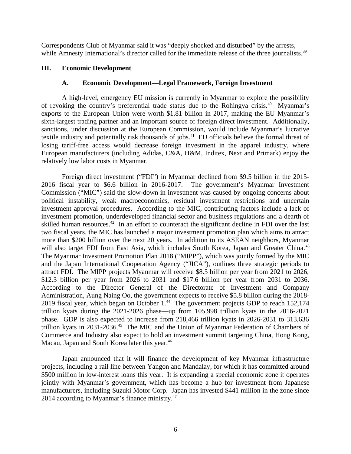Correspondents Club of Myanmar said it was "deeply shocked and disturbed" by the arrests, while Amnesty International's director called for the immediate release of the three journalists.<sup>39</sup>

### **III. Economic Development**

### <span id="page-5-1"></span><span id="page-5-0"></span>**A. Economic Development—Legal Framework, Foreign Investment**

A high-level, emergency EU mission is currently in Myanmar to explore the possibility of revoking the country's preferential trade status due to the Rohingya crisis.<sup>40</sup> Myanmar's exports to the European Union were worth \$1.81 billion in 2017, making the EU Myanmar's sixth-largest trading partner and an important source of foreign direct investment. Additionally, sanctions, under discussion at the European Commission, would include Myanmar's lucrative textile industry and potentially risk thousands of jobs.<sup>41</sup> EU officials believe the formal threat of losing tariff-free access would decrease foreign investment in the apparel industry, where European manufacturers (including Adidas, C&A, H&M, Inditex, Next and Primark) enjoy the relatively low labor costs in Myanmar.

Foreign direct investment ("FDI") in Myanmar declined from \$9.5 billion in the 2015- 2016 fiscal year to \$6.6 billion in 2016-2017. The government's Myanmar Investment Commission ("MIC") said the slow-down in investment was caused by ongoing concerns about political instability, weak macroeconomics, residual investment restrictions and uncertain investment approval procedures. According to the MIC, contributing factors include a lack of investment promotion, underdeveloped financial sector and business regulations and a dearth of skilled human resources.<sup>42</sup> In an effort to counteract the significant decline in FDI over the last two fiscal years, the MIC has launched a major investment promotion plan which aims to attract more than \$200 billion over the next 20 years. In addition to its ASEAN neighbors, Myanmar will also target FDI from East Asia, which includes South Korea, Japan and Greater China.<sup>43</sup> The Myanmar Investment Promotion Plan 2018 ("MIPP"), which was jointly formed by the MIC and the Japan International Cooperation Agency ("JICA"), outlines three strategic periods to attract FDI. The MIPP projects Myanmar will receive \$8.5 billion per year from 2021 to 2026, \$12.3 billion per year from 2026 to 2031 and \$17.6 billion per year from 2031 to 2036. According to the Director General of the Directorate of Investment and Company Administration, Aung Naing Oo, the government expects to receive \$5.8 billion during the 2018- 2019 fiscal year, which began on October  $1<sup>44</sup>$  The government projects GDP to reach 152,174 trillion kyats during the 2021-2026 phase—up from 105,998 trillion kyats in the 2016-2021 phase. GDP is also expected to increase from 218,466 trillion kyats in 2026-2031 to 313,636 trillion kyats in 2031-2036.<sup>45</sup> The MIC and the Union of Myanmar Federation of Chambers of Commerce and Industry also expect to hold an investment summit targeting China, Hong Kong, Macau, Japan and South Korea later this year.<sup>46</sup>

Japan announced that it will finance the development of key Myanmar infrastructure projects, including a rail line between Yangon and Mandalay, for which it has committed around \$500 million in low-interest loans this year. It is expanding a special economic zone it operates jointly with Myanmar's government, which has become a hub for investment from Japanese manufacturers, including Suzuki Motor Corp. Japan has invested \$441 million in the zone since 2014 according to Myanmar's finance ministry. $47$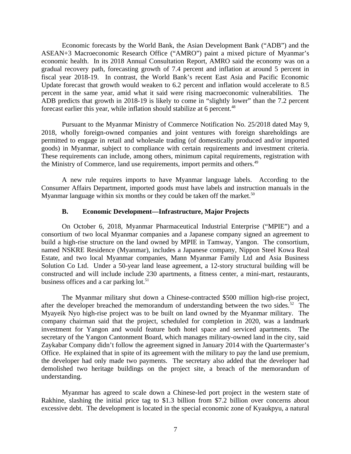Economic forecasts by the World Bank, the Asian Development Bank ("ADB") and the ASEAN+3 Macroeconomic Research Office ("AMRO") paint a mixed picture of Myanmar's economic health. In its 2018 Annual Consultation Report, AMRO said the economy was on a gradual recovery path, forecasting growth of 7.4 percent and inflation at around 5 percent in fiscal year 2018-19. In contrast, the World Bank's recent East Asia and Pacific Economic Update forecast that growth would weaken to 6.2 percent and inflation would accelerate to 8.5 percent in the same year, amid what it said were rising macroeconomic vulnerabilities. The ADB predicts that growth in 2018-19 is likely to come in "slightly lower" than the 7.2 percent forecast earlier this year, while inflation should stabilize at 6 percent.<sup>48</sup>

Pursuant to the Myanmar Ministry of Commerce Notification No. 25/2018 dated May 9, 2018, wholly foreign-owned companies and joint ventures with foreign shareholdings are permitted to engage in retail and wholesale trading (of domestically produced and/or imported goods) in Myanmar, subject to compliance with certain requirements and investment criteria. These requirements can include, among others, minimum capital requirements, registration with the Ministry of Commerce, land use requirements, import permits and others.<sup>49</sup>

A new rule requires imports to have Myanmar language labels. According to the Consumer Affairs Department, imported goods must have labels and instruction manuals in the Myanmar language within six months or they could be taken off the market.<sup>50</sup>

#### <span id="page-6-0"></span>**B. Economic Development—Infrastructure, Major Projects**

On October 6, 2018, Myanmar Pharmaceutical Industrial Enterprise ("MPIE") and a consortium of two local Myanmar companies and a Japanese company signed an agreement to build a high-rise structure on the land owned by MPIE in Tamway, Yangon. The consortium, named NSKRE Residence (Myanmar), includes a Japanese company, Nippon Steel Kowa Real Estate, and two local Myanmar companies, Mann Myanmar Family Ltd and Asia Business Solution Co Ltd. Under a 50-year land lease agreement, a 12-story structural building will be constructed and will include include 230 apartments, a fitness center, a mini-mart, restaurants, business offices and a car parking lot.<sup>51</sup>

The Myanmar military shut down a Chinese-contracted \$500 million high-rise project, after the developer breached the memorandum of understanding between the two sides. $52$  The Myayeik Nyo high-rise project was to be built on land owned by the Myanmar military. The company chairman said that the project, scheduled for completion in 2020, was a landmark investment for Yangon and would feature both hotel space and serviced apartments. The secretary of the Yangon Cantonment Board, which manages military-owned land in the city, said Zaykabar Company didn't follow the agreement signed in January 2014 with the Quartermaster's Office. He explained that in spite of its agreement with the military to pay the land use premium, the developer had only made two payments. The secretary also added that the developer had demolished two heritage buildings on the project site, a breach of the memorandum of understanding.

Myanmar has agreed to scale down a Chinese-led port project in the western state of Rakhine, slashing the initial price tag to \$1.3 billion from \$7.2 billion over concerns about excessive debt. The development is located in the special economic zone of Kyaukpyu, a natural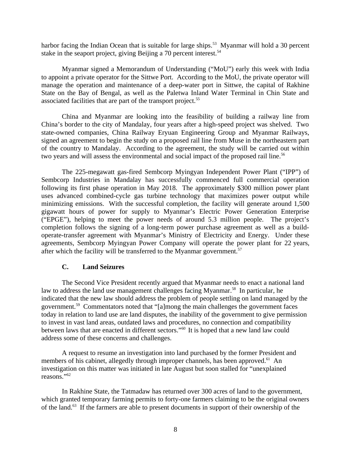harbor facing the Indian Ocean that is suitable for large ships.<sup>53</sup> Myanmar will hold a 30 percent stake in the seaport project, giving Beijing a 70 percent interest.<sup>54</sup>

Myanmar signed a Memorandum of Understanding ("MoU") early this week with India to appoint a private operator for the Sittwe Port. According to the MoU, the private operator will manage the operation and maintenance of a deep-water port in Sittwe, the capital of Rakhine State on the Bay of Bengal, as well as the Paletwa Inland Water Terminal in Chin State and associated facilities that are part of the transport project.<sup>55</sup>

China and Myanmar are looking into the feasibility of building a railway line from China's border to the city of Mandalay, four years after a high-speed project was shelved. Two state-owned companies, China Railway Eryuan Engineering Group and Myanmar Railways, signed an agreement to begin the study on a proposed rail line from Muse in the northeastern part of the country to Mandalay. According to the agreement, the study will be carried out within two years and will assess the environmental and social impact of the proposed rail line.<sup>56</sup>

The 225-megawatt gas-fired Sembcorp Myingyan Independent Power Plant ("IPP") of Sembcorp Industries in Mandalay has successfully commenced full commercial operation following its first phase operation in May 2018. The approximately \$300 million power plant uses advanced combined-cycle gas turbine technology that maximizes power output while minimizing emissions. With the successful completion, the facility will generate around 1,500 gigawatt hours of power for supply to Myanmar's Electric Power Generation Enterprise ("EPGE"), helping to meet the power needs of around 5.3 million people. The project's completion follows the signing of a long-term power purchase agreement as well as a buildoperate-transfer agreement with Myanmar's Ministry of Electricity and Energy. Under these agreements, Sembcorp Myingyan Power Company will operate the power plant for 22 years, after which the facility will be transferred to the Myanmar government.<sup>57</sup>

#### **C. Land Seizures**

The Second Vice President recently argued that Myanmar needs to enact a national land law to address the land use management challenges facing Myanmar.<sup>58</sup> In particular, he indicated that the new law should address the problem of people settling on land managed by the government.<sup>59</sup> Commentators noted that "[a]mong the main challenges the government faces today in relation to land use are land disputes, the inability of the government to give permission to invest in vast land areas, outdated laws and procedures, no connection and compatibility between laws that are enacted in different sectors."<sup>60</sup> It is hoped that a new land law could address some of these concerns and challenges.

A request to resume an investigation into land purchased by the former President and members of his cabinet, allegedly through improper channels, has been approved.<sup>61</sup> An investigation on this matter was initiated in late August but soon stalled for "unexplained reasons."<sup>62</sup>

In Rakhine State, the Tatmadaw has returned over 300 acres of land to the government, which granted temporary farming permits to forty-one farmers claiming to be the original owners of the land.<sup>63</sup> If the farmers are able to present documents in support of their ownership of the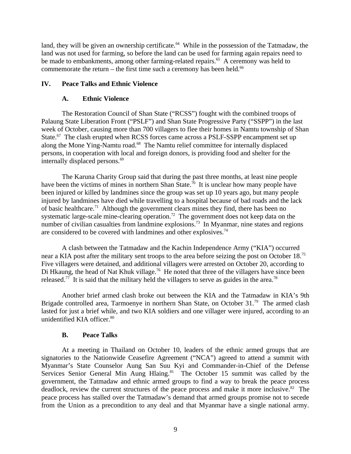land, they will be given an ownership certificate.<sup>64</sup> While in the possession of the Tatmadaw, the land was not used for farming, so before the land can be used for farming again repairs need to be made to embankments, among other farming-related repairs.<sup>65</sup> A ceremony was held to commemorate the return – the first time such a ceremony has been held. $66$ 

### **IV. Peace Talks and Ethnic Violence**

### <span id="page-8-2"></span><span id="page-8-1"></span>**A. Ethnic Violence**

The Restoration Council of Shan State ("RCSS") fought with the combined troops of Palaung State Liberation Front ("PSLF") and Shan State Progressive Party ("SSPP") in the last week of October, causing more than 700 villagers to flee their homes in Namtu township of Shan State.<sup>67</sup> The clash erupted when RCSS forces came across a PSLF-SSPP encampment set up along the Mone Ying-Namtu road.<sup>68</sup> The Namtu relief committee for internally displaced persons, in cooperation with local and foreign donors, is providing food and shelter for the internally displaced persons.<sup>69</sup>

The Karuna Charity Group said that during the past three months, at least nine people have been the victims of mines in northern Shan State.<sup>70</sup> It is unclear how many people have been injured or killed by landmines since the group was set up 10 years ago, but many people injured by landmines have died while travelling to a hospital because of bad roads and the lack of basic healthcare.<sup>71</sup> Although the government clears mines they find, there has been no systematic large-scale mine-clearing operation.<sup>72</sup> The government does not keep data on the number of civilian casualties from landmine explosions.<sup>73</sup> In Myanmar, nine states and regions are considered to be covered with landmines and other explosives.<sup>74</sup>

A clash between the Tatmadaw and the Kachin Independence Army ("KIA") occurred near a KIA post after the military sent troops to the area before seizing the post on October 18.<sup>75</sup> Five villagers were detained, and additional villagers were arrested on October 20, according to Di Hkaung, the head of Nat Khuk village.<sup>76</sup> He noted that three of the villagers have since been released.<sup>77</sup> It is said that the military held the villagers to serve as guides in the area.<sup>78</sup>

Another brief armed clash broke out between the KIA and the Tatmadaw in KIA's 9th Brigade controlled area, Tarmoenye in northern Shan State, on October 31.<sup>79</sup> The armed clash lasted for just a brief while, and two KIA soldiers and one villager were injured, according to an unidentified KIA officer.<sup>80</sup>

#### <span id="page-8-0"></span>**B. Peace Talks**

At a meeting in Thailand on October 10, leaders of the ethnic armed groups that are signatories to the Nationwide Ceasefire Agreement ("NCA") agreed to attend a summit with Myanmar's State Counselor Aung San Suu Kyi and Commander-in-Chief of the Defense Services Senior General Min Aung Hlaing.<sup>81</sup> The October 15 summit was called by the government, the Tatmadaw and ethnic armed groups to find a way to break the peace process deadlock, review the current structures of the peace process and make it more inclusive.<sup>82</sup> The peace process has stalled over the Tatmadaw's demand that armed groups promise not to secede from the Union as a precondition to any deal and that Myanmar have a single national army.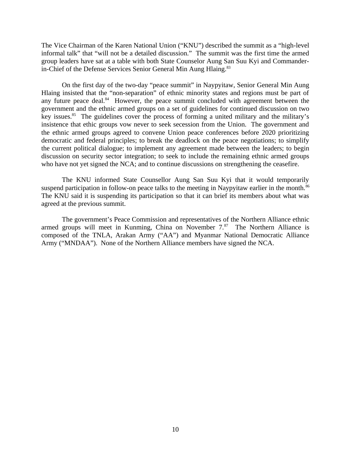The Vice Chairman of the Karen National Union ("KNU") described the summit as a "high-level informal talk" that "will not be a detailed discussion." The summit was the first time the armed group leaders have sat at a table with both State Counselor Aung San Suu Kyi and Commanderin-Chief of the Defense Services Senior General Min Aung Hlaing.<sup>83</sup>

On the first day of the two-day "peace summit" in Naypyitaw, Senior General Min Aung Hlaing insisted that the "non-separation" of ethnic minority states and regions must be part of any future peace deal. $84$  However, the peace summit concluded with agreement between the government and the ethnic armed groups on a set of guidelines for continued discussion on two key issues.<sup>85</sup> The guidelines cover the process of forming a united military and the military's insistence that ethic groups vow never to seek secession from the Union. The government and the ethnic armed groups agreed to convene Union peace conferences before 2020 prioritizing democratic and federal principles; to break the deadlock on the peace negotiations; to simplify the current political dialogue; to implement any agreement made between the leaders; to begin discussion on security sector integration; to seek to include the remaining ethnic armed groups who have not yet signed the NCA; and to continue discussions on strengthening the ceasefire.

The KNU informed State Counsellor Aung San Suu Kyi that it would temporarily suspend participation in follow-on peace talks to the meeting in Naypyitaw earlier in the month.<sup>86</sup> The KNU said it is suspending its participation so that it can brief its members about what was agreed at the previous summit.

The government's Peace Commission and representatives of the Northern Alliance ethnic armed groups will meet in Kunming, China on November  $7.87$  The Northern Alliance is composed of the TNLA, Arakan Army ("AA") and Myanmar National Democratic Alliance Army ("MNDAA"). None of the Northern Alliance members have signed the NCA.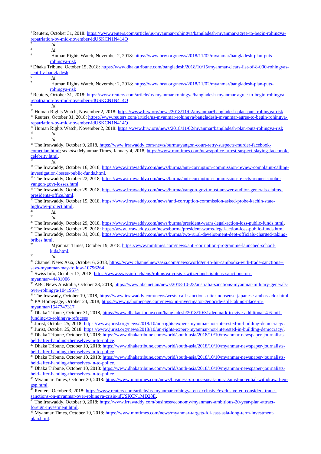<sup>1</sup> Reuters, October 31, 2018: [https://www.reuters.com/article/us-myanmar-rohingya/bangladesh-myanmar-agree-to-begin-rohingya](https://www.reuters.com/article/us-myanmar-rohingya/bangladesh-myanmar-agree-to-begin-rohingya-repatriation-by-mid-november-idUSKCN1N414Q)[repatriation-by-mid-november-idUSKCN1N414Q](https://www.reuters.com/article/us-myanmar-rohingya/bangladesh-myanmar-agree-to-begin-rohingya-repatriation-by-mid-november-idUSKCN1N414Q) 2 *Id*. 3 *Id*. 4 Human Rights Watch, November 2, 2018: [https://www.hrw.org/news/2018/11/02/myanmar/bangladesh-plan-puts](https://www.hrw.org/news/2018/11/02/myanmar/bangladesh-plan-puts-rohingya-risk)[rohingya-risk](https://www.hrw.org/news/2018/11/02/myanmar/bangladesh-plan-puts-rohingya-risk) <sup>5</sup> Dhaka Tribune, October 15, 2018: <u>https://www.dhakatribune.com/bangladesh/2018/10/15/myanmar-clears-list-of-8-000-rohingyas-</u> [sent-by-bangladesh](https://www.dhakatribune.com/bangladesh/2018/10/15/myanmar-clears-list-of-8-000-rohingyas-sent-by-bangladesh) 6 *Id*. 7 Human Rights Watch, November 2, 2018: [https://www.hrw.org/news/2018/11/02/myanmar/bangladesh-plan-puts](https://www.hrw.org/news/2018/11/02/myanmar/bangladesh-plan-puts-rohingya-risk)[rohingya-risk](https://www.hrw.org/news/2018/11/02/myanmar/bangladesh-plan-puts-rohingya-risk) <sup>8</sup> Reuters, October 31, 2018: <u>https://www.reuters.com/article/us-myanmar-rohingya/bangladesh-myanmar-agree-to-begin-rohingya-</u> [repatriation-by-mid-november-idUSKCN1N414Q](https://www.reuters.com/article/us-myanmar-rohingya/bangladesh-myanmar-agree-to-begin-rohingya-repatriation-by-mid-november-idUSKCN1N414Q) 9 *Id*. <sup>10</sup> Human Rights Watch, November 2, 2018: <https://www.hrw.org/news/2018/11/02/myanmar/bangladesh-plan-puts-rohingya-risk> <sup>11</sup> Reuters, October 31, 2018: [https://www.reuters.com/article/us-myanmar-rohingya/bangladesh-myanmar-agree-to-begin-rohingya](https://www.reuters.com/article/us-myanmar-rohingya/bangladesh-myanmar-agree-to-begin-rohingya-repatriation-by-mid-november-idUSKCN1N414Q)[repatriation-by-mid-november-idUSKCN1N414Q](https://www.reuters.com/article/us-myanmar-rohingya/bangladesh-myanmar-agree-to-begin-rohingya-repatriation-by-mid-november-idUSKCN1N414Q) <sup>12</sup> Human Rights Watch, November 2, 2018: <https://www.hrw.org/news/2018/11/02/myanmar/bangladesh-plan-puts-rohingya-risk>  $13$  *Id.* <sup>14</sup> *Id*. <sup>15</sup> The Irrawaddy, October 9, 2018, [https://www.irrawaddy.com/news/burma/yangon-court-retry-suspects-murder-facebook](https://www.irrawaddy.com/news/burma/yangon-court-retry-suspects-murder-facebook-comedian.html)[comedian.html;](https://www.irrawaddy.com/news/burma/yangon-court-retry-suspects-murder-facebook-comedian.html) *see also* Myanmar Times, January 4, 2018, [https://www.mmtimes.com/news/police-arrest-suspect-slaying-facebook](https://www.mmtimes.com/news/police-arrest-suspect-slaying-facebook-celebrity.html)[celebrity.html](https://www.mmtimes.com/news/police-arrest-suspect-slaying-facebook-celebrity.html). <sup>16</sup> *Id.* <sup>17</sup> The Irrawaddy, October 16, 2018, [https://www.irrawaddy.com/news/burma/anti-corruption-commission-review-complaint-calling](https://www.irrawaddy.com/news/burma/anti-corruption-commission-review-complaint-calling-investigation-losses-public-funds.html)[investigation-losses-public-funds.html](https://www.irrawaddy.com/news/burma/anti-corruption-commission-review-complaint-calling-investigation-losses-public-funds.html). <sup>18</sup> The Irrawaddy, October 22, 2018, [https://www.irrawaddy.com/news/burma/anti-corruption-commission-rejects-request-probe](https://www.irrawaddy.com/news/burma/anti-corruption-commission-rejects-request-probe-yangon-govt-losses.html)[yangon-govt-losses.html.](https://www.irrawaddy.com/news/burma/anti-corruption-commission-rejects-request-probe-yangon-govt-losses.html) <sup>19</sup> The Irrawaddy, October 29, 2018, [https://www.irrawaddy.com/news/burma/yangon-govt-must-answer-auditor-generals-claims](https://www.irrawaddy.com/news/burma/yangon-govt-must-answer-auditor-generals-claims-presidents-office.html)[presidents-office.html](https://www.irrawaddy.com/news/burma/yangon-govt-must-answer-auditor-generals-claims-presidents-office.html). <sup>20</sup> The Irrawaddy, October 15, 2018, <u>https://www.irrawaddy.com/news/anti-corruption-commission-asked-probe-kachin-state-</u> [highway-project.html.](https://www.irrawaddy.com/news/anti-corruption-commission-asked-probe-kachin-state-highway-project.html)  $\frac{21}{22}$  *Id.* <sup>22</sup> *Id.* <sup>23</sup> The Irrawaddy, October 29, 2018,<https://www.irrawaddy.com/news/burma/president-warns-legal-action-loss-public-funds.html>. <sup>24</sup> The Irrawaddy, October 29, 2018:<https://www.irrawaddy.com/news/burma/president-warns-legal-action-loss-public-funds.html> <sup>25</sup> The Irrawaddy, October 31, 2018, [https://www.irrawaddy.com/news/burma/two-rural-development-dept-officials-charged-taking](https://www.irrawaddy.com/news/burma/two-rural-development-dept-officials-charged-taking-bribes.html)[bribes.html.](https://www.irrawaddy.com/news/burma/two-rural-development-dept-officials-charged-taking-bribes.html) 26 Myanmar Times, October 19, 2018, [https://www.mmtimes.com/news/anti-corruption-programme-launched-school](https://www.mmtimes.com/news/anti-corruption-programme-launched-school-kids.html)[kids.html.](https://www.mmtimes.com/news/anti-corruption-programme-launched-school-kids.html) <sup>27</sup> *Id.* <sup>28</sup> Channel News Asia, October 6, 2018, [https://www.channelnewsasia.com/news/world/eu-to-hit-cambodia-with-trade-sanctions-](https://www.channelnewsasia.com/news/world/eu-to-hit-cambodia-with-trade-sanctions--says-myanmar-may-follow-10796264) [says-myanmar-may-follow-10796264](https://www.channelnewsasia.com/news/world/eu-to-hit-cambodia-with-trade-sanctions--says-myanmar-may-follow-10796264) <sup>29</sup> Swiss Info, October 17, 2018, [https://www.swissinfo.ch/eng/rohingya-crisis\\_switzerland-tightens-sanctions-on](https://www.swissinfo.ch/eng/rohingya-crisis_switzerland-tightens-sanctions-on-myanmar/44481006)[myanmar/44481006](https://www.swissinfo.ch/eng/rohingya-crisis_switzerland-tightens-sanctions-on-myanmar/44481006) 30 ABC News Australia, October 23, 2018, [https://www.abc.net.au/news/2018-10-23/australia-sanctions-myanmar-military-generals](https://www.abc.net.au/news/2018-10-23/australia-sanctions-myanmar-military-generals-over-rohingya/10419574)[over-rohingya/10419574](https://www.abc.net.au/news/2018-10-23/australia-sanctions-myanmar-military-generals-over-rohingya/10419574) <sup>31</sup> The Irrawady, October 19, 2018, <https://www.irrawaddy.com/news/wests-call-sanctions-utter-nonsense-japanese-ambassador.html> 32 PA Homepage, October 24, 2018, [https://www.pahomepage.com/news/un-investigator-genocide-still-taking-place-in](https://www.pahomepage.com/news/un-investigator-genocide-still-taking-place-in-myanmar/1547747317)[myanmar/1547747317](https://www.pahomepage.com/news/un-investigator-genocide-still-taking-place-in-myanmar/1547747317) <sup>33</sup> Dhaka Tribune, October 31, 2018, [https://www.dhakatribune.com/bangladesh/2018/10/31/denmark-to-give-additional-4-6-mil](https://www.dhakatribune.com/bangladesh/2018/10/31/denmark-to-give-additional-4-6-mil-funding-to-rohingya-refugees)[funding-to-rohingya-refugees](https://www.dhakatribune.com/bangladesh/2018/10/31/denmark-to-give-additional-4-6-mil-funding-to-rohingya-refugees) <u>34</u> Jurist, October 25, 2018: <u><https://www.jurist.org/news/2018/10/un-rights-expert-myanmar-not-interested-in-building-democracy/></u>. <sup>35</sup> Jurist, October 25, 2018: <https://www.jurist.org/news/2018/10/un-rights-expert-myanmar-not-interested-in-building-democracy/>. <sup>36</sup> Dhaka Tribune, October 10, 2018: [https://www.dhakatribune.com/world/south-asia/2018/10/10/myanmar-newspaper-journalists](https://www.dhakatribune.com/world/south-asia/2018/10/10/myanmar-newspaper-journalists-held-after-handing-themselves-in-to-police)[held-after-handing-themselves-in-to-police.](https://www.dhakatribune.com/world/south-asia/2018/10/10/myanmar-newspaper-journalists-held-after-handing-themselves-in-to-police) 37 Dhaka Tribune, October 10, 2018: [https://www.dhakatribune.com/world/south-asia/2018/10/10/myanmar-newspaper-journalists](https://www.dhakatribune.com/world/south-asia/2018/10/10/myanmar-newspaper-journalists-held-after-handing-themselves-in-to-police)[held-after-handing-themselves-in-to-police.](https://www.dhakatribune.com/world/south-asia/2018/10/10/myanmar-newspaper-journalists-held-after-handing-themselves-in-to-police) <sup>8</sup> Dhaka Tribune, October 10, 2018: [https://www.dhakatribune.com/world/south-asia/2018/10/10/myanmar-newspaper-journalists](https://www.dhakatribune.com/world/south-asia/2018/10/10/myanmar-newspaper-journalists-held-after-handing-themselves-in-to-police)[held-after-handing-themselves-in-to-police.](https://www.dhakatribune.com/world/south-asia/2018/10/10/myanmar-newspaper-journalists-held-after-handing-themselves-in-to-police) <sup>39</sup> Dhaka Tribune, October 10, 2018: [https://www.dhakatribune.com/world/south-asia/2018/10/10/myanmar-newspaper-journalists](https://www.dhakatribune.com/world/south-asia/2018/10/10/myanmar-newspaper-journalists-held-after-handing-themselves-in-to-police)[held-after-handing-themselves-in-to-police.](https://www.dhakatribune.com/world/south-asia/2018/10/10/myanmar-newspaper-journalists-held-after-handing-themselves-in-to-police) <sup>40</sup> Myanmar Times, October 30, 2018: [https://www.mmtimes.com/news/business-groups-speak-out-against-potential-withdrawal-eu](https://www.mmtimes.com/news/business-groups-speak-out-against-potential-withdrawal-eu-gsp.html)[gsp.html](https://www.mmtimes.com/news/business-groups-speak-out-against-potential-withdrawal-eu-gsp.html). <sup>41</sup> Reuters, October 3, 2018: [https://www.reuters.com/article/us-myanmar-rohingya-eu-exclusive/exclusive-eu-considers-trade](https://www.reuters.com/article/us-myanmar-rohingya-eu-exclusive/exclusive-eu-considers-trade-sanctions-on-myanmar-over-rohingya-crisis-idUSKCN1MD28E)[sanctions-on-myanmar-over-rohingya-crisis-idUSKCN1MD28E](https://www.reuters.com/article/us-myanmar-rohingya-eu-exclusive/exclusive-eu-considers-trade-sanctions-on-myanmar-over-rohingya-crisis-idUSKCN1MD28E). <sup>42</sup> The Irrawaddy, October 9, 2018: [https://www.irrawaddy.com/business/economy/myanmars-ambitious-20-year-plan-attract](https://www.irrawaddy.com/business/economy/myanmars-ambitious-20-year-plan-attract-foreign-investment.html)[foreign-investment.html](https://www.irrawaddy.com/business/economy/myanmars-ambitious-20-year-plan-attract-foreign-investment.html) <sup>43</sup> Myanmar Times, October 19, 2018: [https://www.mmtimes.com/news/myanmar-targets-fdi-east-asia-long-term-investment](https://www.mmtimes.com/news/myanmar-targets-fdi-east-asia-long-term-investment-plan.html)[plan.html](https://www.mmtimes.com/news/myanmar-targets-fdi-east-asia-long-term-investment-plan.html).